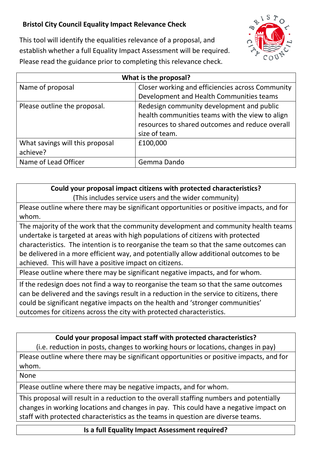## **Bristol City Council Equality Impact Relevance Check**



This tool will identify the equalities relevance of a proposal, and establish whether a full Equality Impact Assessment will be required. Please read the guidance prior to completing this relevance check.

| What is the proposal?                       |                                                                                                                                                                  |
|---------------------------------------------|------------------------------------------------------------------------------------------------------------------------------------------------------------------|
| Name of proposal                            | Closer working and efficiencies across Community                                                                                                                 |
|                                             | Development and Health Communities teams                                                                                                                         |
| Please outline the proposal.                | Redesign community development and public<br>health communities teams with the view to align<br>resources to shared outcomes and reduce overall<br>size of team. |
| What savings will this proposal<br>achieve? | £100,000                                                                                                                                                         |
| Name of Lead Officer                        | Gemma Dando                                                                                                                                                      |

## **Could your proposal impact citizens with protected characteristics?** (This includes service users and the wider community)

Please outline where there may be significant opportunities or positive impacts, and for whom.

The majority of the work that the community development and community health teams undertake is targeted at areas with high populations of citizens with protected characteristics. The intention is to reorganise the team so that the same outcomes can be delivered in a more efficient way, and potentially allow additional outcomes to be achieved. This will have a positive impact on citizens.

Please outline where there may be significant negative impacts, and for whom.

If the redesign does not find a way to reorganise the team so that the same outcomes can be delivered and the savings result in a reduction in the service to citizens, there could be significant negative impacts on the health and 'stronger communities' outcomes for citizens across the city with protected characteristics.

## **Could your proposal impact staff with protected characteristics?**

(i.e. reduction in posts, changes to working hours or locations, changes in pay)

Please outline where there may be significant opportunities or positive impacts, and for whom.

None

Please outline where there may be negative impacts, and for whom.

This proposal will result in a reduction to the overall staffing numbers and potentially changes in working locations and changes in pay. This could have a negative impact on staff with protected characteristics as the teams in question are diverse teams.

**Is a full Equality Impact Assessment required?**